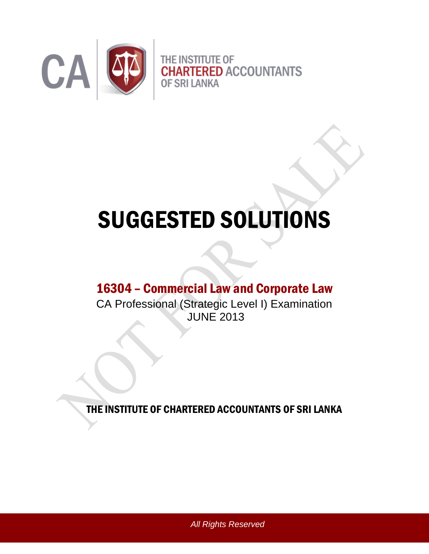

# SUGGESTED SOLUTIONS

## 16304 – Commercial Law and Corporate Law

CA Professional (Strategic Level I) Examination JUNE 2013

THE INSTITUTE OF CHARTERED ACCOUNTANTS OF SRI LANKA

*All Rights Reserved*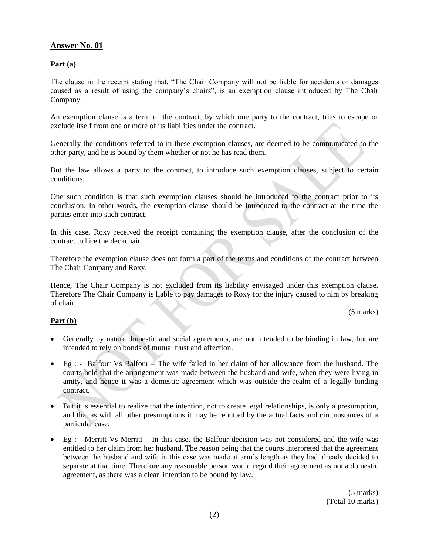#### **Part (a)**

The clause in the receipt stating that, "The Chair Company will not be liable for accidents or damages caused as a result of using the company's chairs", is an exemption clause introduced by The Chair Company

An exemption clause is a term of the contract, by which one party to the contract, tries to escape or exclude itself from one or more of its liabilities under the contract.

Generally the conditions referred to in these exemption clauses, are deemed to be communicated to the other party, and he is bound by them whether or not he has read them.

But the law allows a party to the contract, to introduce such exemption clauses, subject to certain conditions.

One such condition is that such exemption clauses should be introduced to the contract prior to its conclusion. In other words, the exemption clause should be introduced to the contract at the time the parties enter into such contract.

In this case, Roxy received the receipt containing the exemption clause, after the conclusion of the contract to hire the deckchair.

Therefore the exemption clause does not form a part of the terms and conditions of the contract between The Chair Company and Roxy.

Hence, The Chair Company is not excluded from its liability envisaged under this exemption clause. Therefore The Chair Company is liable to pay damages to Roxy for the injury caused to him by breaking of chair.

#### **Part (b)**

- Generally by nature domestic and social agreements, are not intended to be binding in law, but are intended to rely on bonds of mutual trust and affection.
- Eg : Balfour Vs Balfour The wife failed in her claim of her allowance from the husband. The courts held that the arrangement was made between the husband and wife, when they were living in amity, and hence it was a domestic agreement which was outside the realm of a legally binding contract.
- But it is essential to realize that the intention, not to create legal relationships, is only a presumption, and that as with all other presumptions it may be rebutted by the actual facts and circumstances of a particular case.
- Eg : Merritt Vs Merritt In this case, the Balfour decision was not considered and the wife was entitled to her claim from her husband. The reason being that the courts interpreted that the agreement between the husband and wife in this case was made at arm's length as they had already decided to separate at that time. Therefore any reasonable person would regard their agreement as not a domestic agreement, as there was a clear intention to be bound by law.

(5 marks) (Total 10 marks)

(5 marks)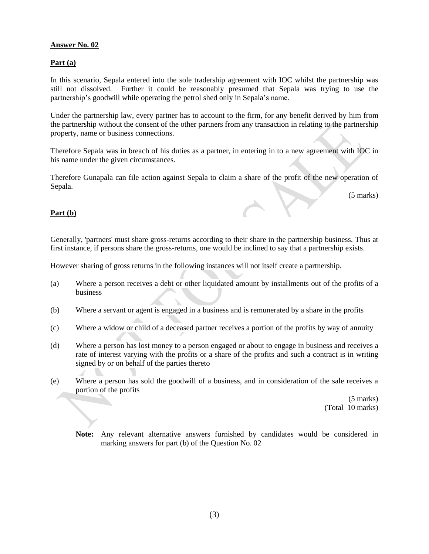#### **Part (a)**

In this scenario, Sepala entered into the sole tradership agreement with IOC whilst the partnership was still not dissolved. Further it could be reasonably presumed that Sepala was trying to use the partnership's goodwill while operating the petrol shed only in Sepala's name.

Under the partnership law, every partner has to account to the firm, for any benefit derived by him from the partnership without the consent of the other partners from any transaction in relating to the partnership property, name or business connections.

Therefore Sepala was in breach of his duties as a partner, in entering in to a new agreement with IOC in his name under the given circumstances.

Therefore Gunapala can file action against Sepala to claim a share of the profit of the new operation of Sepala.

(5 marks)

#### **Part (b)**

Generally, 'partners' must share gross-returns according to their share in the partnership business. Thus at first instance, if persons share the gross-returns, one would be inclined to say that a partnership exists.

However sharing of gross returns in the following instances will not itself create a partnership.

- (a) Where a person receives a debt or other liquidated amount by installments out of the profits of a business
- (b) Where a servant or agent is engaged in a business and is remunerated by a share in the profits
- (c) Where a widow or child of a deceased partner receives a portion of the profits by way of annuity
- (d) Where a person has lost money to a person engaged or about to engage in business and receives a rate of interest varying with the profits or a share of the profits and such a contract is in writing signed by or on behalf of the parties thereto
- (e) Where a person has sold the goodwill of a business, and in consideration of the sale receives a portion of the profits

(5 marks) (Total 10 marks)

**Note:** Any relevant alternative answers furnished by candidates would be considered in marking answers for part (b) of the Question No. 02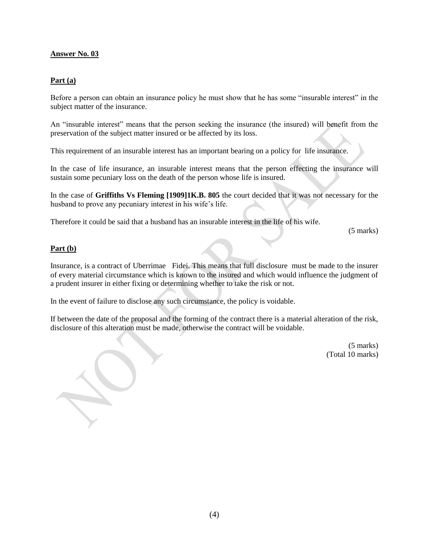#### **Part (a)**

Before a person can obtain an insurance policy he must show that he has some "insurable interest" in the subject matter of the insurance.

An "insurable interest" means that the person seeking the insurance (the insured) will benefit from the preservation of the subject matter insured or be affected by its loss.

This requirement of an insurable interest has an important bearing on a policy for life insurance.

In the case of life insurance, an insurable interest means that the person effecting the insurance will sustain some pecuniary loss on the death of the person whose life is insured.

In the case of **Griffiths Vs Fleming [1909]1K.B. 805** the court decided that it was not necessary for the husband to prove any pecuniary interest in his wife's life.

Therefore it could be said that a husband has an insurable interest in the life of his wife.

(5 marks)

#### **Part (b)**

Insurance, is a contract of Uberrimae Fidei. This means that full disclosure must be made to the insurer of every material circumstance which is known to the insured and which would influence the judgment of a prudent insurer in either fixing or determining whether to take the risk or not.

In the event of failure to disclose any such circumstance, the policy is voidable.

If between the date of the proposal and the forming of the contract there is a material alteration of the risk, disclosure of this alteration must be made, otherwise the contract will be voidable.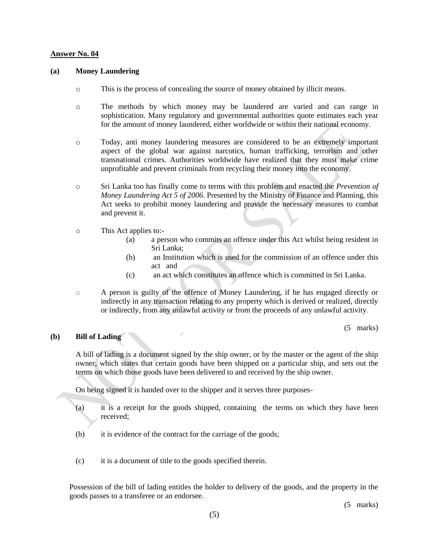#### **(a) Money Laundering**

- o This is the process of concealing the source of money obtained by illicit means.
- o The methods by which money may be laundered are varied and can range in sophistication. Many regulatory and governmental authorities quote estimates each year for the amount of money laundered, either worldwide or within their national economy.
- o Today, anti money laundering measures are considered to be an extremely important aspect of the global war against narcotics, human trafficking, terrorism and other transnational crimes. Authorities worldwide have realized that they must make crime unprofitable and prevent criminals from recycling their money into the economy.
- o Sri Lanka too has finally come to terms with this problem and enacted the *Prevention of Money Laundering Act 5 of 2006*. Presented by the Ministry of Finance and Planning, this Act seeks to prohibit money laundering and provide the necessary measures to combat and prevent it.
- o This Act applies to:-
	- (a) a person who commits an offence under this Act whilst being resident in Sri Lanka;
	- (b) an Institution which is used for the commission of an offence under this act and
	- (c) an act which constitutes an offence which is committed in Sri Lanka.
- o A person is guilty of the offence of Money Laundering, if he has engaged directly or indirectly in any transaction relating to any property which is derived or realized, directly or indirectly, from any unlawful activity or from the proceeds of any unlawful activity.

(5 marks)

#### **(b) Bill of Lading**

A bill of lading is a document signed by the ship owner, or by the master or the agent of the ship owner, which states that certain goods have been shipped on a particular ship, and sets out the terms on which those goods have been delivered to and received by the ship owner.

On being signed it is handed over to the shipper and it serves three purposes-

- (a) it is a receipt for the goods shipped, containing the terms on which they have been received;
- (b) it is evidence of the contract for the carriage of the goods;
- (c) it is a document of title to the goods specified therein.

Possession of the bill of lading entitles the holder to delivery of the goods, and the property in the goods passes to a transferee or an endorsee.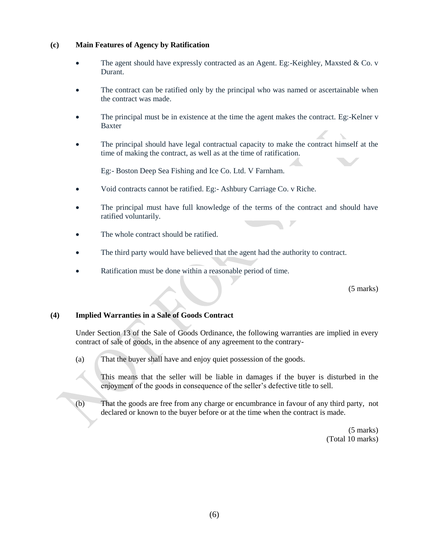#### **(c) Main Features of Agency by Ratification**

- The agent should have expressly contracted as an Agent. Eg:-Keighley, Maxsted & Co. v Durant.
- The contract can be ratified only by the principal who was named or ascertainable when the contract was made.
- The principal must be in existence at the time the agent makes the contract. Eg:-Kelner v Baxter
- The principal should have legal contractual capacity to make the contract himself at the time of making the contract, as well as at the time of ratification.

Eg:- Boston Deep Sea Fishing and Ice Co. Ltd. V Farnham.

- Void contracts cannot be ratified. Eg:- Ashbury Carriage Co. v Riche.
- The principal must have full knowledge of the terms of the contract and should have ratified voluntarily.
- The whole contract should be ratified.
- The third party would have believed that the agent had the authority to contract.
- Ratification must be done within a reasonable period of time.

(5 marks)

#### **(4) Implied Warranties in a Sale of Goods Contract**

Under Section 13 of the Sale of Goods Ordinance, the following warranties are implied in every contract of sale of goods, in the absence of any agreement to the contrary-

(a) That the buyer shall have and enjoy quiet possession of the goods.

This means that the seller will be liable in damages if the buyer is disturbed in the enjoyment of the goods in consequence of the seller's defective title to sell.

(b) That the goods are free from any charge or encumbrance in favour of any third party, not declared or known to the buyer before or at the time when the contract is made.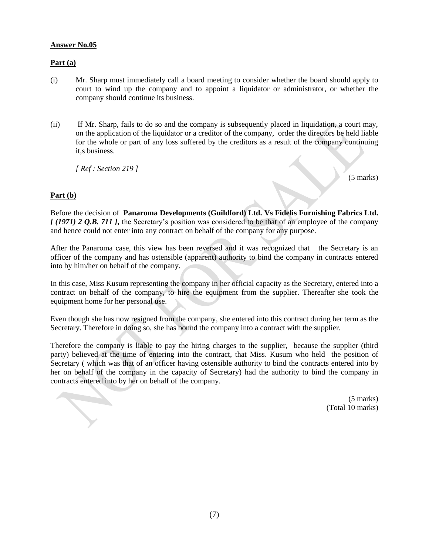#### **Part (a)**

- (i) Mr. Sharp must immediately call a board meeting to consider whether the board should apply to court to wind up the company and to appoint a liquidator or administrator, or whether the company should continue its business.
- (ii) If Mr. Sharp, fails to do so and the company is subsequently placed in liquidation, a court may, on the application of the liquidator or a creditor of the company, order the directors be held liable for the whole or part of any loss suffered by the creditors as a result of the company continuing it,s business.

*[ Ref : Section 219 ]*

(5 marks)

#### **Part (b)**

Before the decision of **Panaroma Developments (Guildford) Ltd. Vs Fidelis Furnishing Fabrics Ltd.**  *[ (1971) 2 Q.B. 711 ]***,** the Secretary's position was considered to be that of an employee of the company and hence could not enter into any contract on behalf of the company for any purpose.

After the Panaroma case, this view has been reversed and it was recognized that the Secretary is an officer of the company and has ostensible (apparent) authority to bind the company in contracts entered into by him/her on behalf of the company.

In this case, Miss Kusum representing the company in her official capacity as the Secretary, entered into a contract on behalf of the company, to hire the equipment from the supplier. Thereafter she took the equipment home for her personal use.

Even though she has now resigned from the company, she entered into this contract during her term as the Secretary. Therefore in doing so, she has bound the company into a contract with the supplier.

Therefore the company is liable to pay the hiring charges to the supplier, because the supplier (third party) believed at the time of entering into the contract, that Miss. Kusum who held the position of Secretary ( which was that of an officer having ostensible authority to bind the contracts entered into by her on behalf of the company in the capacity of Secretary) had the authority to bind the company in contracts entered into by her on behalf of the company.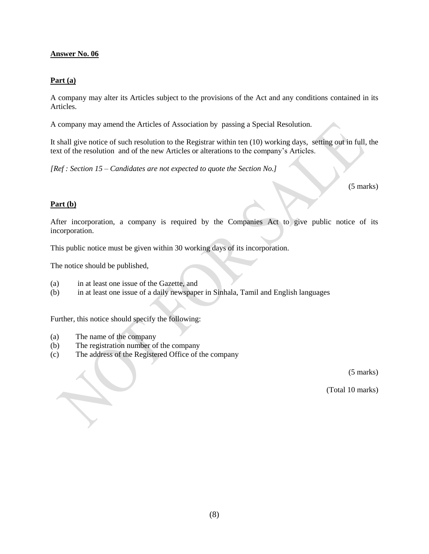#### **Part (a)**

A company may alter its Articles subject to the provisions of the Act and any conditions contained in its Articles.

A company may amend the Articles of Association by passing a Special Resolution.

It shall give notice of such resolution to the Registrar within ten (10) working days, setting out in full, the text of the resolution and of the new Articles or alterations to the company's Articles.

*[Ref : Section 15 – Candidates are not expected to quote the Section No.]*

(5 marks)

#### **Part (b)**

After incorporation, a company is required by the Companies Act to give public notice of its incorporation.

This public notice must be given within 30 working days of its incorporation.

The notice should be published,

- (a) in at least one issue of the Gazette, and
- (b) in at least one issue of a daily newspaper in Sinhala, Tamil and English languages

Further, this notice should specify the following:

- (a) The name of the company
- (b) The registration number of the company
- (c) The address of the Registered Office of the company

(5 marks)

(Total 10 marks)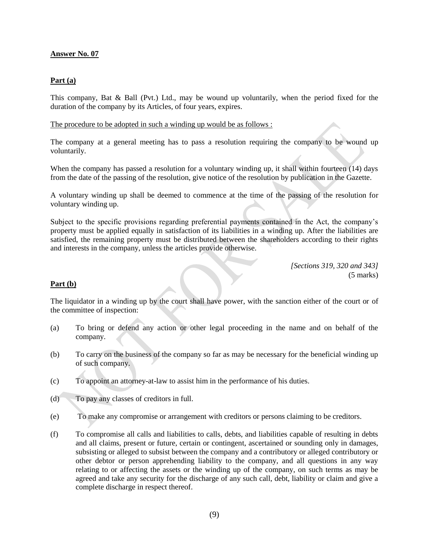#### **Part (a)**

This company, Bat & Ball (Pvt.) Ltd., may be wound up voluntarily, when the period fixed for the duration of the company by its Articles, of four years, expires.

The procedure to be adopted in such a winding up would be as follows :

The company at a general meeting has to pass a resolution requiring the company to be wound up voluntarily.

When the company has passed a resolution for a voluntary winding up, it shall within fourteen (14) days from the date of the passing of the resolution, give notice of the resolution by publication in the Gazette.

A voluntary winding up shall be deemed to commence at the time of the passing of the resolution for voluntary winding up.

Subject to the specific provisions regarding preferential payments contained in the Act, the company's property must be applied equally in satisfaction of its liabilities in a winding up. After the liabilities are satisfied, the remaining property must be distributed between the shareholders according to their rights and interests in the company, unless the articles provide otherwise.

> *[Sections 319, 320 and 343]* (5 marks)

#### **Part (b)**

The liquidator in a winding up by the court shall have power, with the sanction either of the court or of the committee of inspection:

- (a) To bring or defend any action or other legal proceeding in the name and on behalf of the company.
- (b) To carry on the business of the company so far as may be necessary for the beneficial winding up of such company.
- (c) To appoint an attorney-at-law to assist him in the performance of his duties.
- (d) To pay any classes of creditors in full.
- (e) To make any compromise or arrangement with creditors or persons claiming to be creditors.
- (f) To compromise all calls and liabilities to calls, debts, and liabilities capable of resulting in debts and all claims, present or future, certain or contingent, ascertained or sounding only in damages, subsisting or alleged to subsist between the company and a contributory or alleged contributory or other debtor or person apprehending liability to the company, and all questions in any way relating to or affecting the assets or the winding up of the company, on such terms as may be agreed and take any security for the discharge of any such call, debt, liability or claim and give a complete discharge in respect thereof.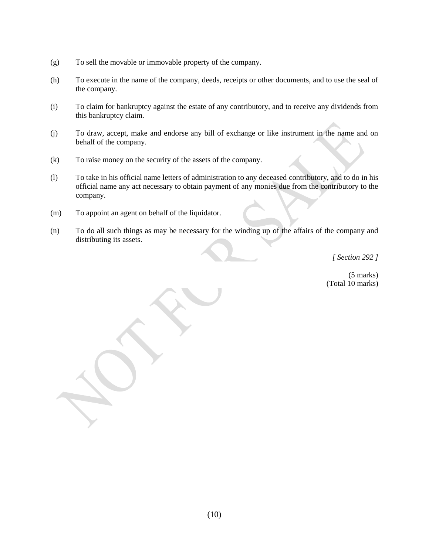- (g) To sell the movable or immovable property of the company.
- (h) To execute in the name of the company, deeds, receipts or other documents, and to use the seal of the company.
- (i) To claim for bankruptcy against the estate of any contributory, and to receive any dividends from this bankruptcy claim.
- (j) To draw, accept, make and endorse any bill of exchange or like instrument in the name and on behalf of the company.
- (k) To raise money on the security of the assets of the company.
- (l) To take in his official name letters of administration to any deceased contributory, and to do in his official name any act necessary to obtain payment of any monies due from the contributory to the company.
- (m) To appoint an agent on behalf of the liquidator.
- (n) To do all such things as may be necessary for the winding up of the affairs of the company and distributing its assets.

*[ Section 292 ]*

(10)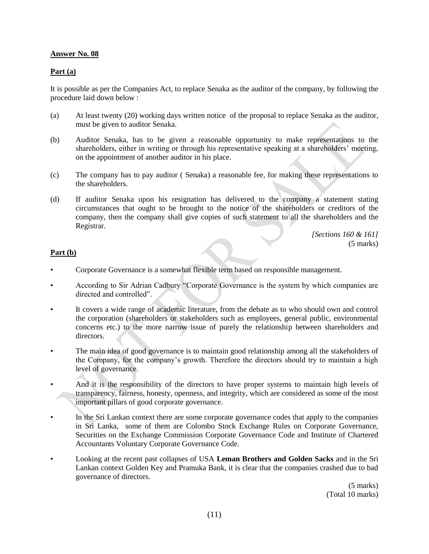#### **Part (a)**

It is possible as per the Companies Act, to replace Senaka as the auditor of the company, by following the procedure laid down below :

- (a) At least twenty (20) working days written notice of the proposal to replace Senaka as the auditor, must be given to auditor Senaka.
- (b) Auditor Senaka, has to be given a reasonable opportunity to make representations to the shareholders, either in writing or through his representative speaking at a shareholders' meeting, on the appointment of another auditor in his place.
- (c) The company has to pay auditor ( Senaka) a reasonable fee, for making these representations to the shareholders.
- (d) If auditor Senaka upon his resignation has delivered to the company a statement stating circumstances that ought to be brought to the notice of the shareholders or creditors of the company, then the company shall give copies of such statement to all the shareholders and the Registrar.

*[Sections 160 & 161]* (5 marks)

#### **Part (b)**

- Corporate Governance is a somewhat flexible term based on responsible management.
- According to Sir Adrian Cadbury "Corporate Governance is the system by which companies are directed and controlled".
- It covers a wide range of academic literature, from the debate as to who should own and control the corporation (shareholders or stakeholders such as employees, general public, environmental concerns etc.) to the more narrow issue of purely the relationship between shareholders and directors.
- The main idea of good governance is to maintain good relationship among all the stakeholders of the Company, for the company's growth. Therefore the directors should try to maintain a high level of governance.
- And it is the responsibility of the directors to have proper systems to maintain high levels of transparency, fairness, honesty, openness, and integrity, which are considered as some of the most important pillars of good corporate governance.
- In the Sri Lankan context there are some corporate governance codes that apply to the companies in Sri Lanka, some of them are Colombo Stock Exchange Rules on Corporate Governance, Securities on the Exchange Commission Corporate Governance Code and Institute of Chartered Accountants Voluntary Corporate Governance Code.
- Looking at the recent past collapses of USA **Leman Brothers and Golden Sacks** and in the Sri Lankan context Golden Key and Pramuka Bank, it is clear that the companies crashed due to bad governance of directors.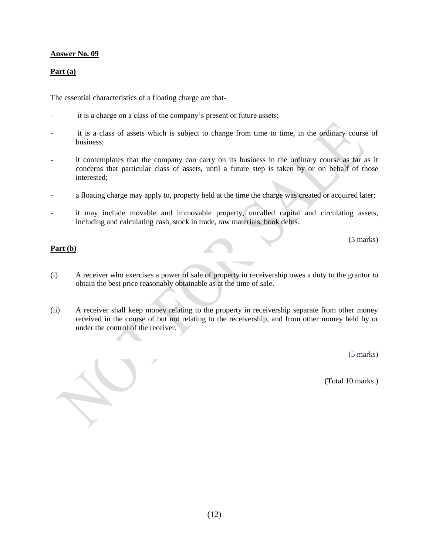#### **Part (a)**

The essential characteristics of a floating charge are that-

- it is a charge on a class of the company's present or future assets;
- it is a class of assets which is subject to change from time to time, in the ordinary course of business;
- it contemplates that the company can carry on its business in the ordinary course as far as it concerns that particular class of assets, until a future step is taken by or on behalf of those interested;
- a floating charge may apply to, property held at the time the charge was created or acquired later;
- it may include movable and immovable property, uncalled capital and circulating assets, including and calculating cash, stock in trade, raw materials, book debts.

#### **Part (b)**

(5 marks)

- (i) A receiver who exercises a power of sale of property in receivership owes a duty to the grantor to obtain the best price reasonably obtainable as at the time of sale.
- (ii) A receiver shall keep money relating to the property in receivership separate from other money received in the course of but not relating to the receivership, and from other money held by or under the control of the receiver.

(5 marks)

(Total 10 marks )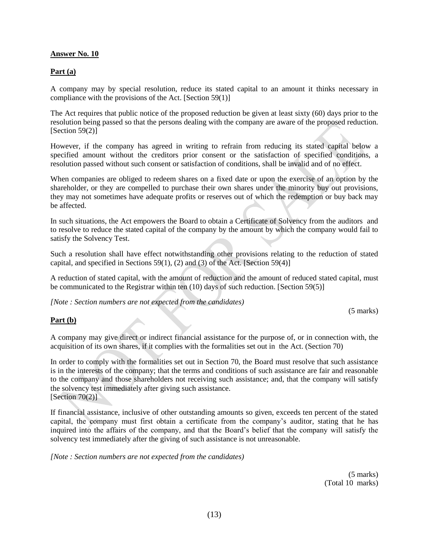#### **Part (a)**

A company may by special resolution, reduce its stated capital to an amount it thinks necessary in compliance with the provisions of the Act. [Section 59(1)]

The Act requires that public notice of the proposed reduction be given at least sixty (60) days prior to the resolution being passed so that the persons dealing with the company are aware of the proposed reduction. [Section 59(2)]

However, if the company has agreed in writing to refrain from reducing its stated capital below a specified amount without the creditors prior consent or the satisfaction of specified conditions, a resolution passed without such consent or satisfaction of conditions, shall be invalid and of no effect.

When companies are obliged to redeem shares on a fixed date or upon the exercise of an option by the shareholder, or they are compelled to purchase their own shares under the minority buy out provisions, they may not sometimes have adequate profits or reserves out of which the redemption or buy back may be affected.

In such situations, the Act empowers the Board to obtain a Certificate of Solvency from the auditors and to resolve to reduce the stated capital of the company by the amount by which the company would fail to satisfy the Solvency Test.

Such a resolution shall have effect notwithstanding other provisions relating to the reduction of stated capital, and specified in Sections 59(1), (2) and (3) of the Act. [Section 59(4)]

A reduction of stated capital, with the amount of reduction and the amount of reduced stated capital, must be communicated to the Registrar within ten (10) days of such reduction. [Section 59(5)]

*[Note : Section numbers are not expected from the candidates)*

#### **Part (b)**

A company may give direct or indirect financial assistance for the purpose of, or in connection with, the acquisition of its own shares, if it complies with the formalities set out in the Act. (Section 70)

In order to comply with the formalities set out in Section 70, the Board must resolve that such assistance is in the interests of the company; that the terms and conditions of such assistance are fair and reasonable to the company and those shareholders not receiving such assistance; and, that the company will satisfy the solvency test immediately after giving such assistance.  $[Section 70(2)]$ 

If financial assistance, inclusive of other outstanding amounts so given, exceeds ten percent of the stated capital, the company must first obtain a certificate from the company's auditor, stating that he has inquired into the affairs of the company, and that the Board's belief that the company will satisfy the solvency test immediately after the giving of such assistance is not unreasonable.

*[Note : Section numbers are not expected from the candidates)*

(5 marks) (Total 10 marks)

(5 marks)